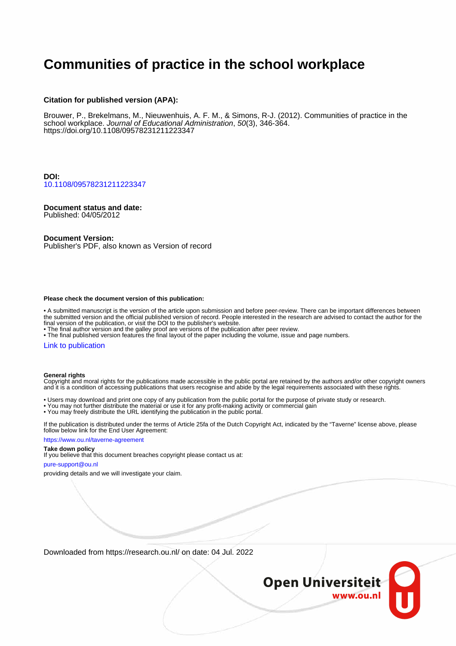# **Communities of practice in the school workplace**

#### **Citation for published version (APA):**

Brouwer, P., Brekelmans, M., Nieuwenhuis, A. F. M., & Simons, R-J. (2012). Communities of practice in the school workplace. Journal of Educational Administration, 50(3), 346-364. <https://doi.org/10.1108/09578231211223347>

**DOI:** [10.1108/09578231211223347](https://doi.org/10.1108/09578231211223347)

#### **Document status and date:**

Published: 04/05/2012

#### **Document Version:**

Publisher's PDF, also known as Version of record

#### **Please check the document version of this publication:**

• A submitted manuscript is the version of the article upon submission and before peer-review. There can be important differences between the submitted version and the official published version of record. People interested in the research are advised to contact the author for the final version of the publication, or visit the DOI to the publisher's website.

• The final author version and the galley proof are versions of the publication after peer review.

• The final published version features the final layout of the paper including the volume, issue and page numbers.

#### [Link to publication](https://research.ou.nl/en/publications/a471f126-d40f-4326-8181-e82b73f9f7fa)

#### **General rights**

Copyright and moral rights for the publications made accessible in the public portal are retained by the authors and/or other copyright owners and it is a condition of accessing publications that users recognise and abide by the legal requirements associated with these rights.

- Users may download and print one copy of any publication from the public portal for the purpose of private study or research.
- You may not further distribute the material or use it for any profit-making activity or commercial gain
- You may freely distribute the URL identifying the publication in the public portal.

If the publication is distributed under the terms of Article 25fa of the Dutch Copyright Act, indicated by the "Taverne" license above, please follow below link for the End User Agreement:

#### https://www.ou.nl/taverne-agreement

#### **Take down policy**

If you believe that this document breaches copyright please contact us at:

#### pure-support@ou.nl

providing details and we will investigate your claim.

Downloaded from https://research.ou.nl/ on date: 04 Jul. 2022

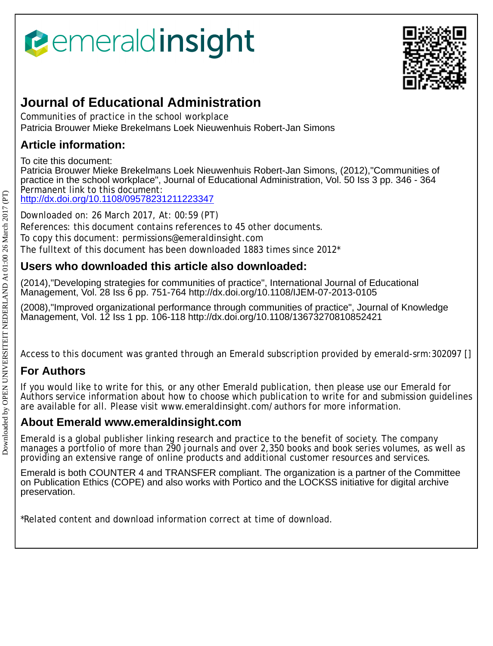# *<u><b>eemeraldinsight</u>*



# **Journal of Educational Administration**

Communities of practice in the school workplace Patricia Brouwer Mieke Brekelmans Loek Nieuwenhuis Robert-Jan Simons

### **Article information:**

To cite this document:

Patricia Brouwer Mieke Brekelmans Loek Nieuwenhuis Robert-Jan Simons, (2012),"Communities of practice in the school workplace", Journal of Educational Administration, Vol. 50 Iss 3 pp. 346 - 364 Permanent link to this document:

<http://dx.doi.org/10.1108/09578231211223347>

Downloaded on: 26 March 2017, At: 00:59 (PT) References: this document contains references to 45 other documents. To copy this document: permissions@emeraldinsight.com The fulltext of this document has been downloaded 1883 times since 2012\*

## **Users who downloaded this article also downloaded:**

(2014),"Developing strategies for communities of practice", International Journal of Educational Management, Vol. 28 Iss 6 pp. 751-764 http://dx.doi.org/10.1108/IJEM-07-2013-0105

(2008),"Improved organizational performance through communities of practice", Journal of Knowledge Management, Vol. 12 Iss 1 pp. 106-118 http://dx.doi.org/10.1108/13673270810852421

Access to this document was granted through an Emerald subscription provided by emerald-srm:302097 []

# **For Authors**

If you would like to write for this, or any other Emerald publication, then please use our Emerald for Authors service information about how to choose which publication to write for and submission guidelines are available for all. Please visit www.emeraldinsight.com/authors for more information.

### **About Emerald www.emeraldinsight.com**

Emerald is a global publisher linking research and practice to the benefit of society. The company manages a portfolio of more than 290 journals and over 2,350 books and book series volumes, as well as providing an extensive range of online products and additional customer resources and services.

Emerald is both COUNTER 4 and TRANSFER compliant. The organization is a partner of the Committee on Publication Ethics (COPE) and also works with Portico and the LOCKSS initiative for digital archive preservation.

\*Related content and download information correct at time of download.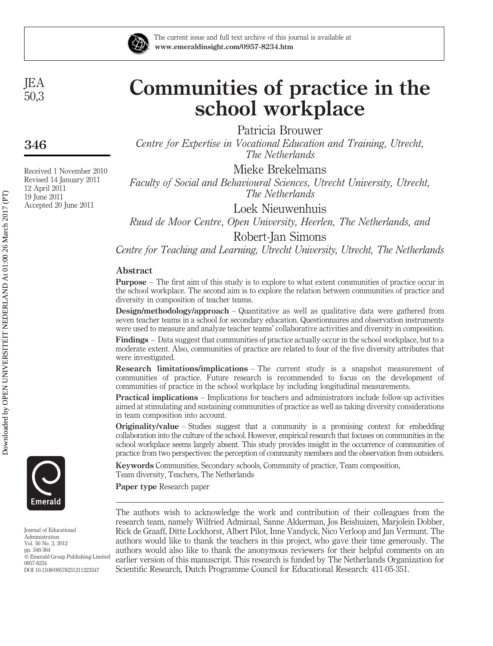

The current issue and full text archive of this journal is available at www.emeraldinsight.com/0957-8234.htm

JEA 50,3

### 346

Received 1 November 2010 Revised 14 January 2011 12 April 2011 19 June 2011 Accepted 20 June 2011

# Communities of practice in the school workplace

Patricia Brouwer

Centre for Expertise in Vocational Education and Training, Utrecht, The Netherlands

Mieke Brekelmans Faculty of Social and Behavioural Sciences, Utrecht University, Utrecht, The Netherlands

Loek Nieuwenhuis

Ruud de Moor Centre, Open University, Heerlen, The Netherlands, and

Robert-Jan Simons

Centre for Teaching and Learning, Utrecht University, Utrecht, The Netherlands

#### Abstract

Purpose – The first aim of this study is to explore to what extent communities of practice occur in the school workplace. The second aim is to explore the relation between communities of practice and diversity in composition of teacher teams.

Design/methodology/approach – Quantitative as well as qualitative data were gathered from seven teacher teams in a school for secondary education. Questionnaires and observation instruments were used to measure and analyze teacher teams' collaborative activities and diversity in composition.

Findings – Data suggest that communities of practice actually occur in the school workplace, but to a moderate extent. Also, communities of practice are related to four of the five diversity attributes that were investigated.

Research limitations/implications – The current study is a snapshot measurement of communities of practice. Future research is recommended to focus on the development of communities of practice in the school workplace by including longitudinal measurements.

Practical implications – Implications for teachers and administrators include follow-up activities aimed at stimulating and sustaining communities of practice as well as taking diversity considerations in team composition into account.

Originality/value – Studies suggest that a community is a promising context for embedding collaboration into the culture of the school. However, empirical research that focuses on communities in the school workplace seems largely absent. This study provides insight in the occurrence of communities of practice from two perspectives: the perception of community members and the observation from outsiders.

Keywords Communities, Secondary schools, Community of practice, Team composition, Team diversity, Teachers, The Netherlands

Paper type Research paper

The authors wish to acknowledge the work and contribution of their colleagues from the research team, namely Wilfried Admiraal, Sanne Akkerman, Jos Beishuizen, Marjolein Dobber, Rick de Graaff, Ditte Lockhorst, Albert Pilot, Inne Vandyck, Nico Verloop and Jan Vermunt. The authors would like to thank the teachers in this project, who gave their time generously. The authors would also like to thank the anonymous reviewers for their helpful comments on an earlier version of this manuscript. This research is funded by The Netherlands Organization for Scientific Research, Dutch Programme Council for Educational Research: 411-05-351.



Journal of Educational Administration Vol. 50 No. 3, 2012 pp. 346-364 q Emerald Group Publishing Limited 0957-8234 DOI 10.1108/09578231211223347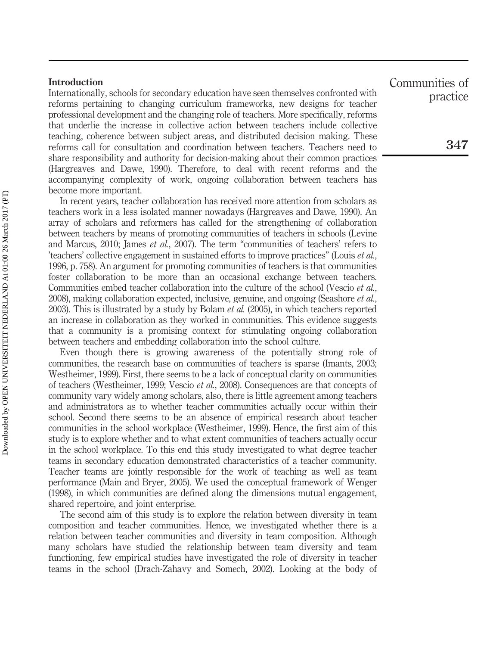#### Introduction

Internationally, schools for secondary education have seen themselves confronted with reforms pertaining to changing curriculum frameworks, new designs for teacher professional development and the changing role of teachers. More specifically, reforms that underlie the increase in collective action between teachers include collective teaching, coherence between subject areas, and distributed decision making. These reforms call for consultation and coordination between teachers. Teachers need to share responsibility and authority for decision-making about their common practices (Hargreaves and Dawe, 1990). Therefore, to deal with recent reforms and the accompanying complexity of work, ongoing collaboration between teachers has become more important.

In recent years, teacher collaboration has received more attention from scholars as teachers work in a less isolated manner nowadays (Hargreaves and Dawe, 1990). An array of scholars and reformers has called for the strengthening of collaboration between teachers by means of promoting communities of teachers in schools (Levine and Marcus, 2010; James et al., 2007). The term "communities of teachers' refers to 'teachers' collective engagement in sustained efforts to improve practices" (Louis et al., 1996, p. 758). An argument for promoting communities of teachers is that communities foster collaboration to be more than an occasional exchange between teachers. Communities embed teacher collaboration into the culture of the school (Vescio *et al.*, 2008), making collaboration expected, inclusive, genuine, and ongoing (Seashore et al., 2003). This is illustrated by a study by Bolam et al. (2005), in which teachers reported an increase in collaboration as they worked in communities. This evidence suggests that a community is a promising context for stimulating ongoing collaboration between teachers and embedding collaboration into the school culture.

Even though there is growing awareness of the potentially strong role of communities, the research base on communities of teachers is sparse (Imants, 2003; Westheimer, 1999). First, there seems to be a lack of conceptual clarity on communities of teachers (Westheimer, 1999; Vescio et al., 2008). Consequences are that concepts of community vary widely among scholars, also, there is little agreement among teachers and administrators as to whether teacher communities actually occur within their school. Second there seems to be an absence of empirical research about teacher communities in the school workplace (Westheimer, 1999). Hence, the first aim of this study is to explore whether and to what extent communities of teachers actually occur in the school workplace. To this end this study investigated to what degree teacher teams in secondary education demonstrated characteristics of a teacher community. Teacher teams are jointly responsible for the work of teaching as well as team performance (Main and Bryer, 2005). We used the conceptual framework of Wenger (1998), in which communities are defined along the dimensions mutual engagement, shared repertoire, and joint enterprise.

The second aim of this study is to explore the relation between diversity in team composition and teacher communities. Hence, we investigated whether there is a relation between teacher communities and diversity in team composition. Although many scholars have studied the relationship between team diversity and team functioning, few empirical studies have investigated the role of diversity in teacher teams in the school (Drach-Zahavy and Somech, 2002). Looking at the body of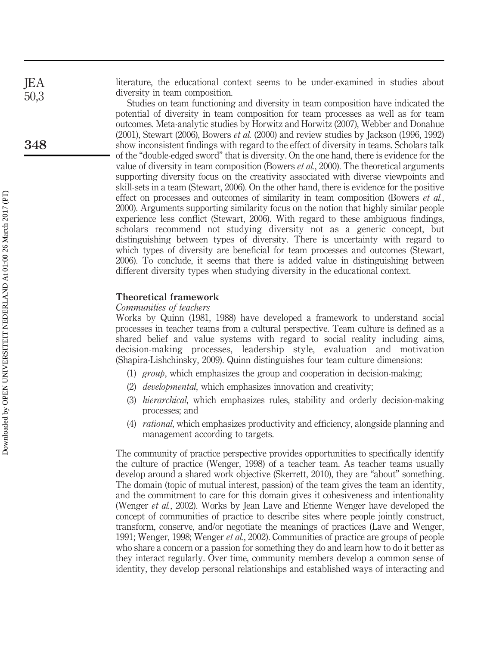literature, the educational context seems to be under-examined in studies about diversity in team composition.

Studies on team functioning and diversity in team composition have indicated the potential of diversity in team composition for team processes as well as for team outcomes. Meta-analytic studies by Horwitz and Horwitz (2007), Webber and Donahue  $(2001)$ , Stewart  $(2006)$ , Bowers *et al.*  $(2000)$  and review studies by Jackson  $(1996, 1992)$ show inconsistent findings with regard to the effect of diversity in teams. Scholars talk of the "double-edged sword" that is diversity. On the one hand, there is evidence for the value of diversity in team composition (Bowers *et al.*, 2000). The theoretical arguments supporting diversity focus on the creativity associated with diverse viewpoints and skill-sets in a team (Stewart, 2006). On the other hand, there is evidence for the positive effect on processes and outcomes of similarity in team composition (Bowers *et al.*, 2000). Arguments supporting similarity focus on the notion that highly similar people experience less conflict (Stewart, 2006). With regard to these ambiguous findings, scholars recommend not studying diversity not as a generic concept, but distinguishing between types of diversity. There is uncertainty with regard to which types of diversity are beneficial for team processes and outcomes (Stewart, 2006). To conclude, it seems that there is added value in distinguishing between different diversity types when studying diversity in the educational context.

#### Theoretical framework

Communities of teachers

Works by Quinn (1981, 1988) have developed a framework to understand social processes in teacher teams from a cultural perspective. Team culture is defined as a shared belief and value systems with regard to social reality including aims, decision-making processes, leadership style, evaluation and motivation (Shapira-Lishchinsky, 2009). Quinn distinguishes four team culture dimensions:

- (1)  $\textit{group}$ , which emphasizes the group and cooperation in decision-making;
- (2) developmental, which emphasizes innovation and creativity;
- (3) hierarchical, which emphasizes rules, stability and orderly decision-making processes; and
- (4) rational, which emphasizes productivity and efficiency, alongside planning and management according to targets.

The community of practice perspective provides opportunities to specifically identify the culture of practice (Wenger, 1998) of a teacher team. As teacher teams usually develop around a shared work objective (Skerrett, 2010), they are "about" something. The domain (topic of mutual interest, passion) of the team gives the team an identity, and the commitment to care for this domain gives it cohesiveness and intentionality (Wenger et al., 2002). Works by Jean Lave and Etienne Wenger have developed the concept of communities of practice to describe sites where people jointly construct, transform, conserve, and/or negotiate the meanings of practices (Lave and Wenger, 1991; Wenger, 1998; Wenger et al., 2002). Communities of practice are groups of people who share a concern or a passion for something they do and learn how to do it better as they interact regularly. Over time, community members develop a common sense of identity, they develop personal relationships and established ways of interacting and

JEA 50,3

348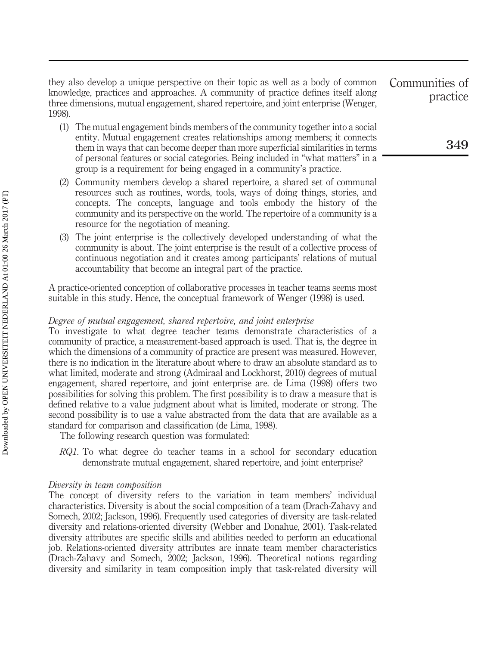they also develop a unique perspective on their topic as well as a body of common knowledge, practices and approaches. A community of practice defines itself along three dimensions, mutual engagement, shared repertoire, and joint enterprise (Wenger, 1998).

- (1) The mutual engagement binds members of the community together into a social entity. Mutual engagement creates relationships among members; it connects them in ways that can become deeper than more superficial similarities in terms of personal features or social categories. Being included in "what matters" in a group is a requirement for being engaged in a community's practice.
- (2) Community members develop a shared repertoire, a shared set of communal resources such as routines, words, tools, ways of doing things, stories, and concepts. The concepts, language and tools embody the history of the community and its perspective on the world. The repertoire of a community is a resource for the negotiation of meaning.
- (3) The joint enterprise is the collectively developed understanding of what the community is about. The joint enterprise is the result of a collective process of continuous negotiation and it creates among participants' relations of mutual accountability that become an integral part of the practice.

A practice-oriented conception of collaborative processes in teacher teams seems most suitable in this study. Hence, the conceptual framework of Wenger (1998) is used.

#### Degree of mutual engagement, shared repertoire, and joint enterprise

To investigate to what degree teacher teams demonstrate characteristics of a community of practice, a measurement-based approach is used. That is, the degree in which the dimensions of a community of practice are present was measured. However, there is no indication in the literature about where to draw an absolute standard as to what limited, moderate and strong (Admiraal and Lockhorst, 2010) degrees of mutual engagement, shared repertoire, and joint enterprise are. de Lima (1998) offers two possibilities for solving this problem. The first possibility is to draw a measure that is defined relative to a value judgment about what is limited, moderate or strong. The second possibility is to use a value abstracted from the data that are available as a standard for comparison and classification (de Lima, 1998).

The following research question was formulated:

RQ1. To what degree do teacher teams in a school for secondary education demonstrate mutual engagement, shared repertoire, and joint enterprise?

#### Diversity in team composition

The concept of diversity refers to the variation in team members' individual characteristics. Diversity is about the social composition of a team (Drach-Zahavy and Somech, 2002; Jackson, 1996). Frequently used categories of diversity are task-related diversity and relations-oriented diversity (Webber and Donahue, 2001). Task-related diversity attributes are specific skills and abilities needed to perform an educational job. Relations-oriented diversity attributes are innate team member characteristics (Drach-Zahavy and Somech, 2002; Jackson, 1996). Theoretical notions regarding diversity and similarity in team composition imply that task-related diversity will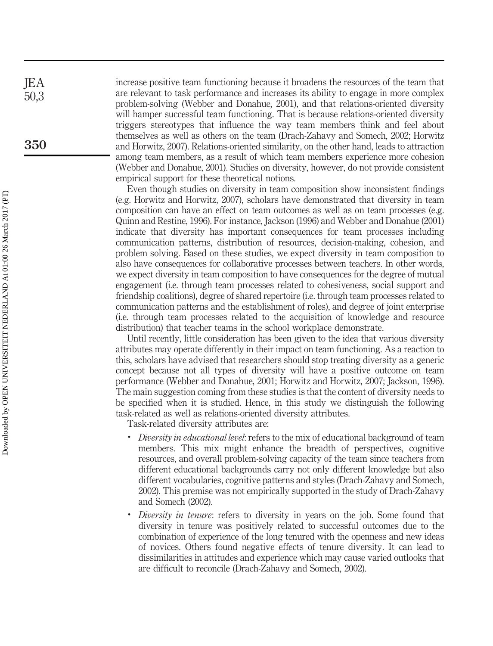increase positive team functioning because it broadens the resources of the team that are relevant to task performance and increases its ability to engage in more complex problem-solving (Webber and Donahue, 2001), and that relations-oriented diversity will hamper successful team functioning. That is because relations-oriented diversity triggers stereotypes that influence the way team members think and feel about themselves as well as others on the team (Drach-Zahavy and Somech, 2002; Horwitz and Horwitz, 2007). Relations-oriented similarity, on the other hand, leads to attraction among team members, as a result of which team members experience more cohesion (Webber and Donahue, 2001). Studies on diversity, however, do not provide consistent empirical support for these theoretical notions.

Even though studies on diversity in team composition show inconsistent findings (e.g. Horwitz and Horwitz, 2007), scholars have demonstrated that diversity in team composition can have an effect on team outcomes as well as on team processes (e.g. Quinn and Restine, 1996). For instance, Jackson (1996) and Webber and Donahue (2001) indicate that diversity has important consequences for team processes including communication patterns, distribution of resources, decision-making, cohesion, and problem solving. Based on these studies, we expect diversity in team composition to also have consequences for collaborative processes between teachers. In other words, we expect diversity in team composition to have consequences for the degree of mutual engagement (i.e. through team processes related to cohesiveness, social support and friendship coalitions), degree of shared repertoire (i.e. through team processes related to communication patterns and the establishment of roles), and degree of joint enterprise (i.e. through team processes related to the acquisition of knowledge and resource distribution) that teacher teams in the school workplace demonstrate.

Until recently, little consideration has been given to the idea that various diversity attributes may operate differently in their impact on team functioning. As a reaction to this, scholars have advised that researchers should stop treating diversity as a generic concept because not all types of diversity will have a positive outcome on team performance (Webber and Donahue, 2001; Horwitz and Horwitz, 2007; Jackson, 1996). The main suggestion coming from these studies is that the content of diversity needs to be specified when it is studied. Hence, in this study we distinguish the following task-related as well as relations-oriented diversity attributes.

Task-related diversity attributes are:

- Diversity in educational level: refers to the mix of educational background of team members. This mix might enhance the breadth of perspectives, cognitive resources, and overall problem-solving capacity of the team since teachers from different educational backgrounds carry not only different knowledge but also different vocabularies, cognitive patterns and styles (Drach-Zahavy and Somech, 2002). This premise was not empirically supported in the study of Drach-Zahavy and Somech (2002).
- Diversity in tenure: refers to diversity in years on the job. Some found that diversity in tenure was positively related to successful outcomes due to the combination of experience of the long tenured with the openness and new ideas of novices. Others found negative effects of tenure diversity. It can lead to dissimilarities in attitudes and experience which may cause varied outlooks that are difficult to reconcile (Drach-Zahavy and Somech, 2002).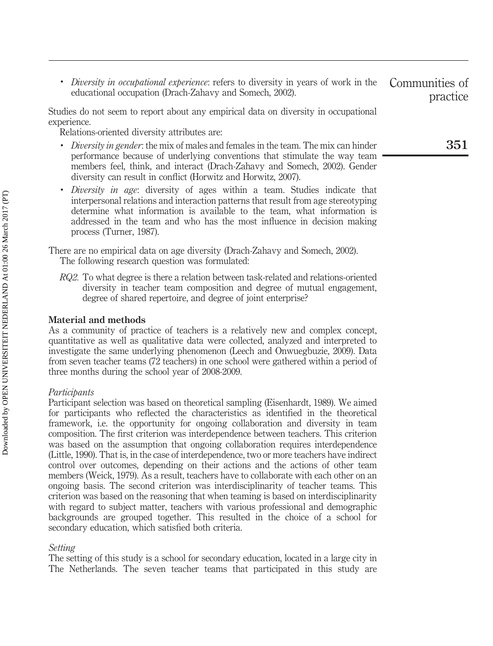. Diversity in occupational experience: refers to diversity in years of work in the educational occupation (Drach-Zahavy and Somech, 2002). Communities of

Studies do not seem to report about any empirical data on diversity in occupational experience.

Relations-oriented diversity attributes are:

- *Diversity in gender*: the mix of males and females in the team. The mix can hinder performance because of underlying conventions that stimulate the way team members feel, think, and interact (Drach-Zahavy and Somech, 2002). Gender diversity can result in conflict (Horwitz and Horwitz, 2007).
- . Diversity in age: diversity of ages within a team. Studies indicate that interpersonal relations and interaction patterns that result from age stereotyping determine what information is available to the team, what information is addressed in the team and who has the most influence in decision making process (Turner, 1987).

There are no empirical data on age diversity (Drach-Zahavy and Somech, 2002). The following research question was formulated:

RQ2. To what degree is there a relation between task-related and relations-oriented diversity in teacher team composition and degree of mutual engagement, degree of shared repertoire, and degree of joint enterprise?

#### Material and methods

As a community of practice of teachers is a relatively new and complex concept, quantitative as well as qualitative data were collected, analyzed and interpreted to investigate the same underlying phenomenon (Leech and Onwuegbuzie, 2009). Data from seven teacher teams (72 teachers) in one school were gathered within a period of three months during the school year of 2008-2009.

#### Participants

Participant selection was based on theoretical sampling (Eisenhardt, 1989). We aimed for participants who reflected the characteristics as identified in the theoretical framework, i.e. the opportunity for ongoing collaboration and diversity in team composition. The first criterion was interdependence between teachers. This criterion was based on the assumption that ongoing collaboration requires interdependence (Little, 1990). That is, in the case of interdependence, two or more teachers have indirect control over outcomes, depending on their actions and the actions of other team members (Weick, 1979). As a result, teachers have to collaborate with each other on an ongoing basis. The second criterion was interdisciplinarity of teacher teams. This criterion was based on the reasoning that when teaming is based on interdisciplinarity with regard to subject matter, teachers with various professional and demographic backgrounds are grouped together. This resulted in the choice of a school for secondary education, which satisfied both criteria.

#### Setting

The setting of this study is a school for secondary education, located in a large city in The Netherlands. The seven teacher teams that participated in this study are 351

practice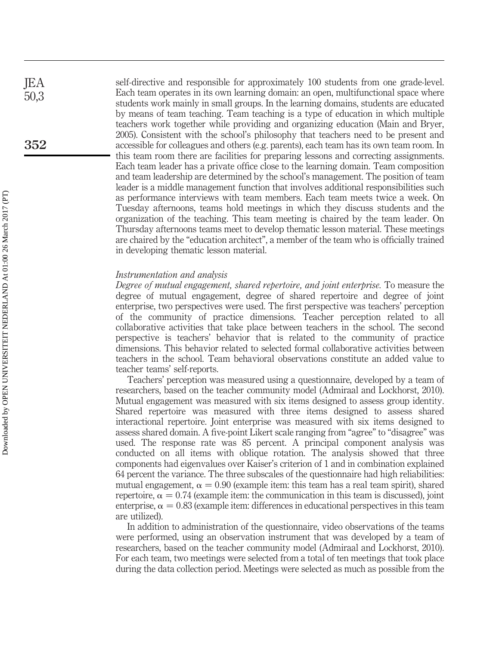self-directive and responsible for approximately 100 students from one grade-level. Each team operates in its own learning domain: an open, multifunctional space where students work mainly in small groups. In the learning domains, students are educated by means of team teaching. Team teaching is a type of education in which multiple teachers work together while providing and organizing education (Main and Bryer, 2005). Consistent with the school's philosophy that teachers need to be present and accessible for colleagues and others (e.g. parents), each team has its own team room. In this team room there are facilities for preparing lessons and correcting assignments. Each team leader has a private office close to the learning domain. Team composition and team leadership are determined by the school's management. The position of team leader is a middle management function that involves additional responsibilities such as performance interviews with team members. Each team meets twice a week. On Tuesday afternoons, teams hold meetings in which they discuss students and the organization of the teaching. This team meeting is chaired by the team leader. On Thursday afternoons teams meet to develop thematic lesson material. These meetings are chaired by the "education architect", a member of the team who is officially trained in developing thematic lesson material.

#### Instrumentation and analysis

Degree of mutual engagement, shared repertoire, and joint enterprise. To measure the degree of mutual engagement, degree of shared repertoire and degree of joint enterprise, two perspectives were used. The first perspective was teachers' perception of the community of practice dimensions. Teacher perception related to all collaborative activities that take place between teachers in the school. The second perspective is teachers' behavior that is related to the community of practice dimensions. This behavior related to selected formal collaborative activities between teachers in the school. Team behavioral observations constitute an added value to teacher teams' self-reports.

Teachers' perception was measured using a questionnaire, developed by a team of researchers, based on the teacher community model (Admiraal and Lockhorst, 2010). Mutual engagement was measured with six items designed to assess group identity. Shared repertoire was measured with three items designed to assess shared interactional repertoire. Joint enterprise was measured with six items designed to assess shared domain. A five-point Likert scale ranging from "agree" to "disagree" was used. The response rate was 85 percent. A principal component analysis was conducted on all items with oblique rotation. The analysis showed that three components had eigenvalues over Kaiser's criterion of 1 and in combination explained 64 percent the variance. The three subscales of the questionnaire had high reliabilities: mutual engagement,  $\alpha = 0.90$  (example item: this team has a real team spirit), shared repertoire,  $\alpha = 0.74$  (example item: the communication in this team is discussed), joint enterprise,  $\alpha = 0.83$  (example item: differences in educational perspectives in this team are utilized).

In addition to administration of the questionnaire, video observations of the teams were performed, using an observation instrument that was developed by a team of researchers, based on the teacher community model (Admiraal and Lockhorst, 2010). For each team, two meetings were selected from a total of ten meetings that took place during the data collection period. Meetings were selected as much as possible from the

JEA 50,3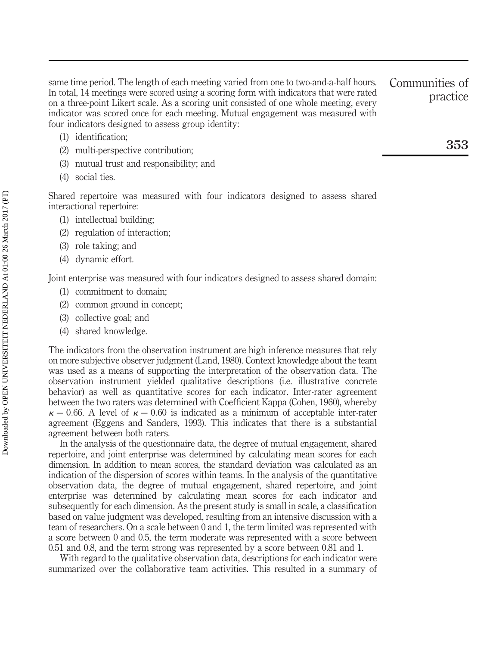same time period. The length of each meeting varied from one to two-and-a-half hours. In total, 14 meetings were scored using a scoring form with indicators that were rated on a three-point Likert scale. As a scoring unit consisted of one whole meeting, every indicator was scored once for each meeting. Mutual engagement was measured with four indicators designed to assess group identity:

- (1) identification;
- (2) multi-perspective contribution;
- (3) mutual trust and responsibility; and
- (4) social ties.

Shared repertoire was measured with four indicators designed to assess shared interactional repertoire:

- (1) intellectual building;
- (2) regulation of interaction;
- (3) role taking; and
- (4) dynamic effort.

Joint enterprise was measured with four indicators designed to assess shared domain:

- (1) commitment to domain;
- (2) common ground in concept;
- (3) collective goal; and
- (4) shared knowledge.

The indicators from the observation instrument are high inference measures that rely on more subjective observer judgment (Land, 1980). Context knowledge about the team was used as a means of supporting the interpretation of the observation data. The observation instrument yielded qualitative descriptions (i.e. illustrative concrete behavior) as well as quantitative scores for each indicator. Inter-rater agreement between the two raters was determined with Coefficient Kappa (Cohen, 1960), whereby  $\kappa = 0.66$ . A level of  $\kappa = 0.60$  is indicated as a minimum of acceptable inter-rater agreement (Eggens and Sanders, 1993). This indicates that there is a substantial agreement between both raters.

In the analysis of the questionnaire data, the degree of mutual engagement, shared repertoire, and joint enterprise was determined by calculating mean scores for each dimension. In addition to mean scores, the standard deviation was calculated as an indication of the dispersion of scores within teams. In the analysis of the quantitative observation data, the degree of mutual engagement, shared repertoire, and joint enterprise was determined by calculating mean scores for each indicator and subsequently for each dimension. As the present study is small in scale, a classification based on value judgment was developed, resulting from an intensive discussion with a team of researchers. On a scale between 0 and 1, the term limited was represented with a score between 0 and 0.5, the term moderate was represented with a score between 0.51 and 0.8, and the term strong was represented by a score between 0.81 and 1.

With regard to the qualitative observation data, descriptions for each indicator were summarized over the collaborative team activities. This resulted in a summary of 353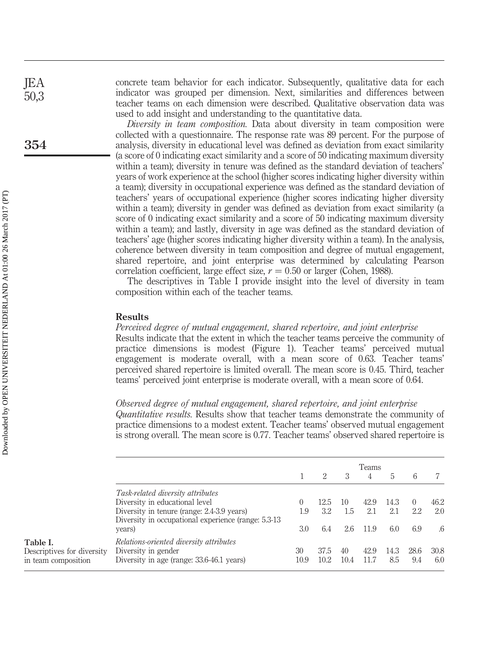concrete team behavior for each indicator. Subsequently, qualitative data for each indicator was grouped per dimension. Next, similarities and differences between teacher teams on each dimension were described. Qualitative observation data was used to add insight and understanding to the quantitative data.

Diversity in team composition. Data about diversity in team composition were collected with a questionnaire. The response rate was 89 percent. For the purpose of analysis, diversity in educational level was defined as deviation from exact similarity (a score of 0 indicating exact similarity and a score of 50 indicating maximum diversity within a team); diversity in tenure was defined as the standard deviation of teachers' years of work experience at the school (higher scores indicating higher diversity within a team); diversity in occupational experience was defined as the standard deviation of teachers' years of occupational experience (higher scores indicating higher diversity within a team); diversity in gender was defined as deviation from exact similarity (a score of 0 indicating exact similarity and a score of 50 indicating maximum diversity within a team); and lastly, diversity in age was defined as the standard deviation of teachers' age (higher scores indicating higher diversity within a team). In the analysis, coherence between diversity in team composition and degree of mutual engagement, shared repertoire, and joint enterprise was determined by calculating Pearson correlation coefficient, large effect size,  $r = 0.50$  or larger (Cohen, 1988).

The descriptives in Table I provide insight into the level of diversity in team composition within each of the teacher teams.

#### Results

#### Perceived degree of mutual engagement, shared repertoire, and joint enterprise

Results indicate that the extent in which the teacher teams perceive the community of practice dimensions is modest (Figure 1). Teacher teams' perceived mutual engagement is moderate overall, with a mean score of 0.63. Teacher teams' perceived shared repertoire is limited overall. The mean score is 0.45. Third, teacher teams' perceived joint enterprise is moderate overall, with a mean score of 0.64.

#### Observed degree of mutual engagement, shared repertoire, and joint enterprise

Quantitative results. Results show that teacher teams demonstrate the community of practice dimensions to a modest extent. Teacher teams' observed mutual engagement is strong overall. The mean score is 0.77. Teacher teams' observed shared repertoire is

|           |                                                                | Teams            |      |      |      |      |                  |      |
|-----------|----------------------------------------------------------------|------------------|------|------|------|------|------------------|------|
|           |                                                                |                  | 2    | 3    | 4    | 5    | 6                |      |
|           | Task-related diversity attributes                              |                  |      |      |      |      |                  |      |
|           | Diversity in educational level                                 | $\left( \right)$ | 12.5 | 10   | 42.9 | 14.3 | $\left( \right)$ | 46.2 |
|           | Diversity in tenure (range: 2.4-3.9 years)                     | 1.9              | 3.2  | 1.5  | 2.1  | 2.1  | 2.2              | 2.0  |
|           | Diversity in occupational experience (range: 5.3-13)<br>years) | 3.0              | 6.4  | 2.6  | 11.9 | 6.0  | 6.9              | 6    |
| diversity | Relations-oriented diversity attributes<br>Diversity in gender | 30               | 37.5 | 40   | 42.9 | 14.3 | 28.6             | 30.8 |
| tion      | Diversity in age (range: 33.6-46.1 years)                      | 10.9             | 10.2 | 10.4 | 11.7 | 8.5  | 9.4              | 6.0  |

Table I. Descriptives for in team composi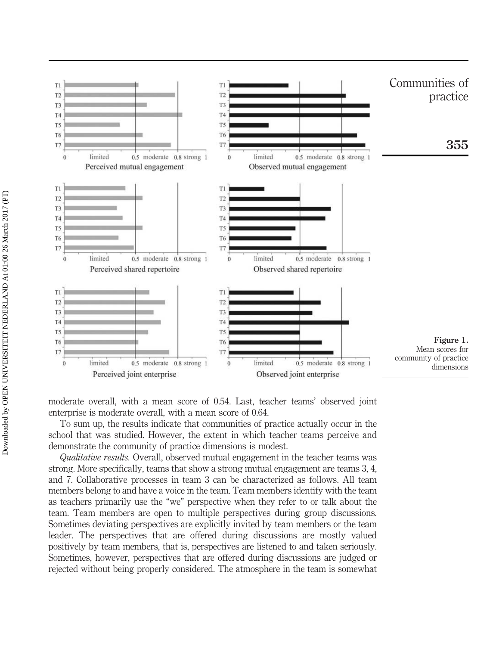

moderate overall, with a mean score of 0.54. Last, teacher teams' observed joint enterprise is moderate overall, with a mean score of 0.64.

To sum up, the results indicate that communities of practice actually occur in the school that was studied. However, the extent in which teacher teams perceive and demonstrate the community of practice dimensions is modest.

Qualitative results. Overall, observed mutual engagement in the teacher teams was strong. More specifically, teams that show a strong mutual engagement are teams 3, 4, and 7. Collaborative processes in team 3 can be characterized as follows. All team members belong to and have a voice in the team. Team members identify with the team as teachers primarily use the "we" perspective when they refer to or talk about the team. Team members are open to multiple perspectives during group discussions. Sometimes deviating perspectives are explicitly invited by team members or the team leader. The perspectives that are offered during discussions are mostly valued positively by team members, that is, perspectives are listened to and taken seriously. Sometimes, however, perspectives that are offered during discussions are judged or rejected without being properly considered. The atmosphere in the team is somewhat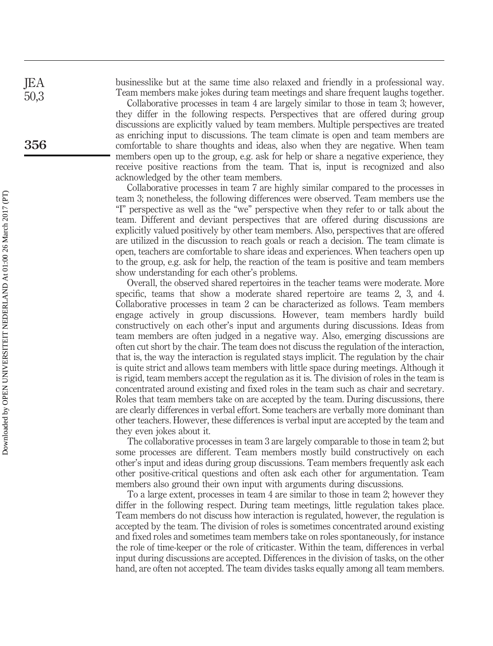businesslike but at the same time also relaxed and friendly in a professional way. Team members make jokes during team meetings and share frequent laughs together.

Collaborative processes in team 4 are largely similar to those in team 3; however, they differ in the following respects. Perspectives that are offered during group discussions are explicitly valued by team members. Multiple perspectives are treated as enriching input to discussions. The team climate is open and team members are comfortable to share thoughts and ideas, also when they are negative. When team members open up to the group, e.g. ask for help or share a negative experience, they receive positive reactions from the team. That is, input is recognized and also acknowledged by the other team members.

Collaborative processes in team 7 are highly similar compared to the processes in team 3; nonetheless, the following differences were observed. Team members use the "I" perspective as well as the "we" perspective when they refer to or talk about the team. Different and deviant perspectives that are offered during discussions are explicitly valued positively by other team members. Also, perspectives that are offered are utilized in the discussion to reach goals or reach a decision. The team climate is open, teachers are comfortable to share ideas and experiences. When teachers open up to the group, e.g. ask for help, the reaction of the team is positive and team members show understanding for each other's problems.

Overall, the observed shared repertoires in the teacher teams were moderate. More specific, teams that show a moderate shared repertoire are teams 2, 3, and 4. Collaborative processes in team 2 can be characterized as follows. Team members engage actively in group discussions. However, team members hardly build constructively on each other's input and arguments during discussions. Ideas from team members are often judged in a negative way. Also, emerging discussions are often cut short by the chair. The team does not discuss the regulation of the interaction, that is, the way the interaction is regulated stays implicit. The regulation by the chair is quite strict and allows team members with little space during meetings. Although it is rigid, team members accept the regulation as it is. The division of roles in the team is concentrated around existing and fixed roles in the team such as chair and secretary. Roles that team members take on are accepted by the team. During discussions, there are clearly differences in verbal effort. Some teachers are verbally more dominant than other teachers. However, these differences is verbal input are accepted by the team and they even jokes about it.

The collaborative processes in team 3 are largely comparable to those in team 2; but some processes are different. Team members mostly build constructively on each other's input and ideas during group discussions. Team members frequently ask each other positive-critical questions and often ask each other for argumentation. Team members also ground their own input with arguments during discussions.

To a large extent, processes in team 4 are similar to those in team 2; however they differ in the following respect. During team meetings, little regulation takes place. Team members do not discuss how interaction is regulated, however, the regulation is accepted by the team. The division of roles is sometimes concentrated around existing and fixed roles and sometimes team members take on roles spontaneously, for instance the role of time-keeper or the role of criticaster. Within the team, differences in verbal input during discussions are accepted. Differences in the division of tasks, on the other hand, are often not accepted. The team divides tasks equally among all team members.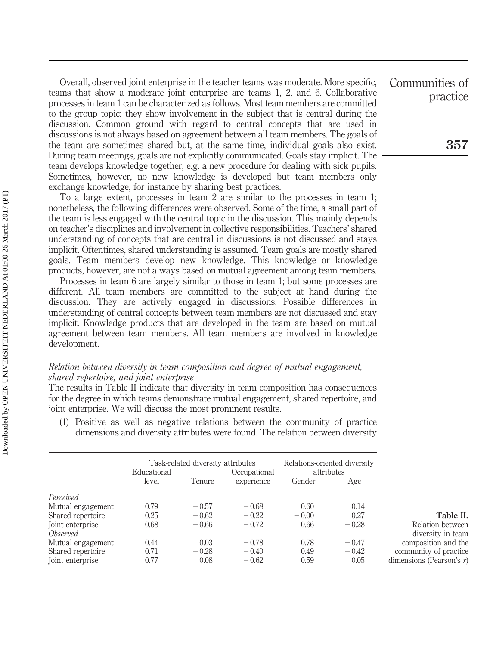Overall, observed joint enterprise in the teacher teams was moderate. More specific, teams that show a moderate joint enterprise are teams 1, 2, and 6. Collaborative processes in team 1 can be characterized as follows. Most team members are committed to the group topic; they show involvement in the subject that is central during the discussion. Common ground with regard to central concepts that are used in discussions is not always based on agreement between all team members. The goals of the team are sometimes shared but, at the same time, individual goals also exist. During team meetings, goals are not explicitly communicated. Goals stay implicit. The team develops knowledge together, e.g. a new procedure for dealing with sick pupils. Sometimes, however, no new knowledge is developed but team members only exchange knowledge, for instance by sharing best practices.

To a large extent, processes in team 2 are similar to the processes in team 1; nonetheless, the following differences were observed. Some of the time, a small part of the team is less engaged with the central topic in the discussion. This mainly depends on teacher's disciplines and involvement in collective responsibilities. Teachers' shared understanding of concepts that are central in discussions is not discussed and stays implicit. Oftentimes, shared understanding is assumed. Team goals are mostly shared goals. Team members develop new knowledge. This knowledge or knowledge products, however, are not always based on mutual agreement among team members.

Processes in team 6 are largely similar to those in team 1; but some processes are different. All team members are committed to the subject at hand during the discussion. They are actively engaged in discussions. Possible differences in understanding of central concepts between team members are not discussed and stay implicit. Knowledge products that are developed in the team are based on mutual agreement between team members. All team members are involved in knowledge development.

#### Relation between diversity in team composition and degree of mutual engagement, shared repertoire, and joint enterprise

The results in Table II indicate that diversity in team composition has consequences for the degree in which teams demonstrate mutual engagement, shared repertoire, and joint enterprise. We will discuss the most prominent results.

(1) Positive as well as negative relations between the community of practice dimensions and diversity attributes were found. The relation between diversity

|                   | Task-related diversity attributes<br>Educational |         | Occupational | Relations-oriented diversity<br>attributes |         |                             |
|-------------------|--------------------------------------------------|---------|--------------|--------------------------------------------|---------|-----------------------------|
|                   | level                                            | Tenure  | experience   | Gender                                     | Age     |                             |
| Perceived         |                                                  |         |              |                                            |         |                             |
| Mutual engagement | 0.79                                             | $-0.57$ | $-0.68$      | 0.60                                       | 0.14    |                             |
| Shared repertoire | 0.25                                             | $-0.62$ | $-0.22$      | $-0.00$                                    | 0.27    | Table II.                   |
| Joint enterprise  | 0.68                                             | $-0.66$ | $-0.72$      | 0.66                                       | $-0.28$ | Relation between            |
| <i>Observed</i>   |                                                  |         |              |                                            |         | diversity in team           |
| Mutual engagement | 0.44                                             | 0.03    | $-0.78$      | 0.78                                       | $-0.47$ | composition and the         |
| Shared repertoire | 0.71                                             | $-0.28$ | $-0.40$      | 0.49                                       | $-0.42$ | community of practice       |
| Joint enterprise  | 0.77                                             | 0.08    | $-0.62$      | 0.59                                       | 0.05    | dimensions (Pearson's $r$ ) |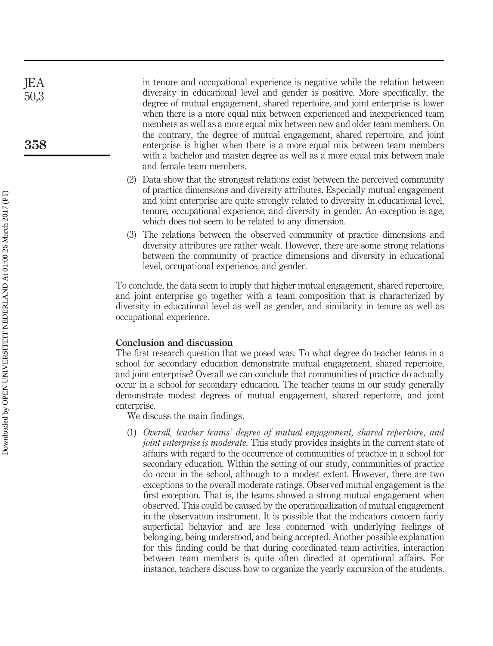in tenure and occupational experience is negative while the relation between diversity in educational level and gender is positive. More specifically, the degree of mutual engagement, shared repertoire, and joint enterprise is lower when there is a more equal mix between experienced and inexperienced team members as well as a more equal mix between new and older team members. On the contrary, the degree of mutual engagement, shared repertoire, and joint enterprise is higher when there is a more equal mix between team members with a bachelor and master degree as well as a more equal mix between male and female team members.

- (2) Data show that the strongest relations exist between the perceived community of practice dimensions and diversity attributes. Especially mutual engagement and joint enterprise are quite strongly related to diversity in educational level, tenure, occupational experience, and diversity in gender. An exception is age, which does not seem to be related to any dimension.
- (3) The relations between the observed community of practice dimensions and diversity attributes are rather weak. However, there are some strong relations between the community of practice dimensions and diversity in educational level, occupational experience, and gender.

To conclude, the data seem to imply that higher mutual engagement, shared repertoire, and joint enterprise go together with a team composition that is characterized by diversity in educational level as well as gender, and similarity in tenure as well as occupational experience.

#### Conclusion and discussion

The first research question that we posed was: To what degree do teacher teams in a school for secondary education demonstrate mutual engagement, shared repertoire, and joint enterprise? Overall we can conclude that communities of practice do actually occur in a school for secondary education. The teacher teams in our study generally demonstrate modest degrees of mutual engagement, shared repertoire, and joint enterprise.

We discuss the main findings.

(1) Overall, teacher teams' degree of mutual engagement, shared repertoire, and joint enterprise is moderate. This study provides insights in the current state of affairs with regard to the occurrence of communities of practice in a school for secondary education. Within the setting of our study, communities of practice do occur in the school, although to a modest extent. However, there are two exceptions to the overall moderate ratings. Observed mutual engagement is the first exception. That is, the teams showed a strong mutual engagement when observed. This could be caused by the operationalization of mutual engagement in the observation instrument. It is possible that the indicators concern fairly superficial behavior and are less concerned with underlying feelings of belonging, being understood, and being accepted. Another possible explanation for this finding could be that during coordinated team activities, interaction between team members is quite often directed at operational affairs. For instance, teachers discuss how to organize the yearly excursion of the students.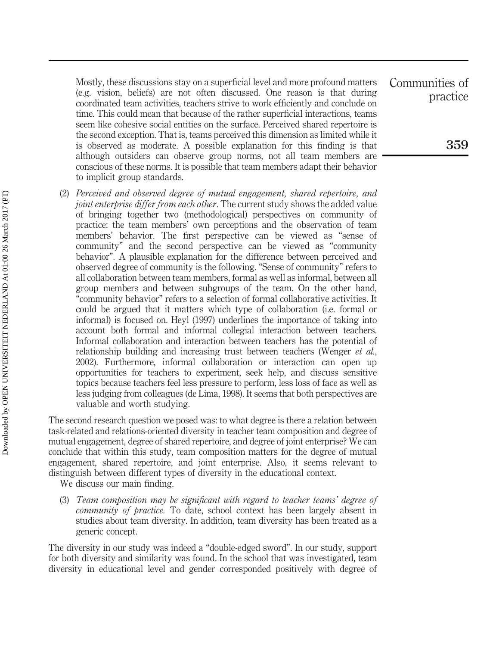Mostly, these discussions stay on a superficial level and more profound matters (e.g. vision, beliefs) are not often discussed. One reason is that during coordinated team activities, teachers strive to work efficiently and conclude on time. This could mean that because of the rather superficial interactions, teams seem like cohesive social entities on the surface. Perceived shared repertoire is the second exception. That is, teams perceived this dimension as limited while it is observed as moderate. A possible explanation for this finding is that although outsiders can observe group norms, not all team members are conscious of these norms. It is possible that team members adapt their behavior to implicit group standards.

(2) Perceived and observed degree of mutual engagement, shared repertoire, and joint enterprise differ from each other. The current study shows the added value of bringing together two (methodological) perspectives on community of practice: the team members' own perceptions and the observation of team members' behavior. The first perspective can be viewed as "sense of community" and the second perspective can be viewed as "community behavior". A plausible explanation for the difference between perceived and observed degree of community is the following. "Sense of community" refers to all collaboration between team members, formal as well as informal, between all group members and between subgroups of the team. On the other hand, "community behavior" refers to a selection of formal collaborative activities. It could be argued that it matters which type of collaboration (i.e. formal or informal) is focused on. Heyl (1997) underlines the importance of taking into account both formal and informal collegial interaction between teachers. Informal collaboration and interaction between teachers has the potential of relationship building and increasing trust between teachers (Wenger *et al.*, 2002). Furthermore, informal collaboration or interaction can open up opportunities for teachers to experiment, seek help, and discuss sensitive topics because teachers feel less pressure to perform, less loss of face as well as less judging from colleagues (de Lima, 1998). It seems that both perspectives are valuable and worth studying.

The second research question we posed was: to what degree is there a relation between task-related and relations-oriented diversity in teacher team composition and degree of mutual engagement, degree of shared repertoire, and degree of joint enterprise? We can conclude that within this study, team composition matters for the degree of mutual engagement, shared repertoire, and joint enterprise. Also, it seems relevant to distinguish between different types of diversity in the educational context.

We discuss our main finding.

(3) Team composition may be significant with regard to teacher teams' degree of community of practice. To date, school context has been largely absent in studies about team diversity. In addition, team diversity has been treated as a generic concept.

The diversity in our study was indeed a "double-edged sword". In our study, support for both diversity and similarity was found. In the school that was investigated, team diversity in educational level and gender corresponded positively with degree of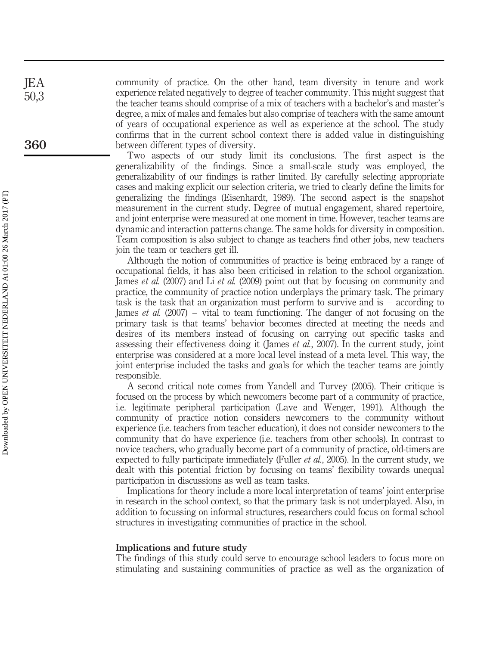community of practice. On the other hand, team diversity in tenure and work experience related negatively to degree of teacher community. This might suggest that the teacher teams should comprise of a mix of teachers with a bachelor's and master's degree, a mix of males and females but also comprise of teachers with the same amount of years of occupational experience as well as experience at the school. The study confirms that in the current school context there is added value in distinguishing between different types of diversity.

Two aspects of our study limit its conclusions. The first aspect is the generalizability of the findings. Since a small-scale study was employed, the generalizability of our findings is rather limited. By carefully selecting appropriate cases and making explicit our selection criteria, we tried to clearly define the limits for generalizing the findings (Eisenhardt, 1989). The second aspect is the snapshot measurement in the current study. Degree of mutual engagement, shared repertoire, and joint enterprise were measured at one moment in time. However, teacher teams are dynamic and interaction patterns change. The same holds for diversity in composition. Team composition is also subject to change as teachers find other jobs, new teachers join the team or teachers get ill.

Although the notion of communities of practice is being embraced by a range of occupational fields, it has also been criticised in relation to the school organization. James et al. (2007) and Li et al. (2009) point out that by focusing on community and practice, the community of practice notion underplays the primary task. The primary task is the task that an organization must perform to survive and is – according to James *et al.* (2007) – vital to team functioning. The danger of not focusing on the primary task is that teams' behavior becomes directed at meeting the needs and desires of its members instead of focusing on carrying out specific tasks and assessing their effectiveness doing it (James *et al.*, 2007). In the current study, joint enterprise was considered at a more local level instead of a meta level. This way, the joint enterprise included the tasks and goals for which the teacher teams are jointly responsible.

A second critical note comes from Yandell and Turvey (2005). Their critique is focused on the process by which newcomers become part of a community of practice, i.e. legitimate peripheral participation (Lave and Wenger, 1991). Although the community of practice notion considers newcomers to the community without experience (i.e. teachers from teacher education), it does not consider newcomers to the community that do have experience (i.e. teachers from other schools). In contrast to novice teachers, who gradually become part of a community of practice, old-timers are expected to fully participate immediately (Fuller et al., 2005). In the current study, we dealt with this potential friction by focusing on teams' flexibility towards unequal participation in discussions as well as team tasks.

Implications for theory include a more local interpretation of teams' joint enterprise in research in the school context, so that the primary task is not underplayed. Also, in addition to focussing on informal structures, researchers could focus on formal school structures in investigating communities of practice in the school.

#### Implications and future study

The findings of this study could serve to encourage school leaders to focus more on stimulating and sustaining communities of practice as well as the organization of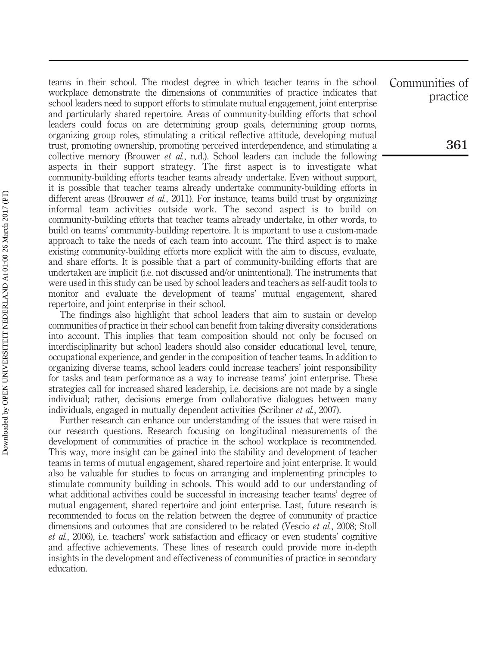teams in their school. The modest degree in which teacher teams in the school workplace demonstrate the dimensions of communities of practice indicates that school leaders need to support efforts to stimulate mutual engagement, joint enterprise and particularly shared repertoire. Areas of community-building efforts that school leaders could focus on are determining group goals, determining group norms, organizing group roles, stimulating a critical reflective attitude, developing mutual trust, promoting ownership, promoting perceived interdependence, and stimulating a collective memory (Brouwer et al., n.d.). School leaders can include the following aspects in their support strategy. The first aspect is to investigate what community-building efforts teacher teams already undertake. Even without support, it is possible that teacher teams already undertake community-building efforts in different areas (Brouwer *et al.*, 2011). For instance, teams build trust by organizing informal team activities outside work. The second aspect is to build on community-building efforts that teacher teams already undertake, in other words, to build on teams' community-building repertoire. It is important to use a custom-made approach to take the needs of each team into account. The third aspect is to make existing community-building efforts more explicit with the aim to discuss, evaluate, and share efforts. It is possible that a part of community-building efforts that are undertaken are implicit (i.e. not discussed and/or unintentional). The instruments that were used in this study can be used by school leaders and teachers as self-audit tools to monitor and evaluate the development of teams' mutual engagement, shared repertoire, and joint enterprise in their school.

The findings also highlight that school leaders that aim to sustain or develop communities of practice in their school can benefit from taking diversity considerations into account. This implies that team composition should not only be focused on interdisciplinarity but school leaders should also consider educational level, tenure, occupational experience, and gender in the composition of teacher teams. In addition to organizing diverse teams, school leaders could increase teachers' joint responsibility for tasks and team performance as a way to increase teams' joint enterprise. These strategies call for increased shared leadership, i.e. decisions are not made by a single individual; rather, decisions emerge from collaborative dialogues between many individuals, engaged in mutually dependent activities (Scribner et al., 2007).

Further research can enhance our understanding of the issues that were raised in our research questions. Research focusing on longitudinal measurements of the development of communities of practice in the school workplace is recommended. This way, more insight can be gained into the stability and development of teacher teams in terms of mutual engagement, shared repertoire and joint enterprise. It would also be valuable for studies to focus on arranging and implementing principles to stimulate community building in schools. This would add to our understanding of what additional activities could be successful in increasing teacher teams' degree of mutual engagement, shared repertoire and joint enterprise. Last, future research is recommended to focus on the relation between the degree of community of practice dimensions and outcomes that are considered to be related (Vescio *et al.*, 2008; Stoll et al., 2006), i.e. teachers' work satisfaction and efficacy or even students' cognitive and affective achievements. These lines of research could provide more in-depth insights in the development and effectiveness of communities of practice in secondary education.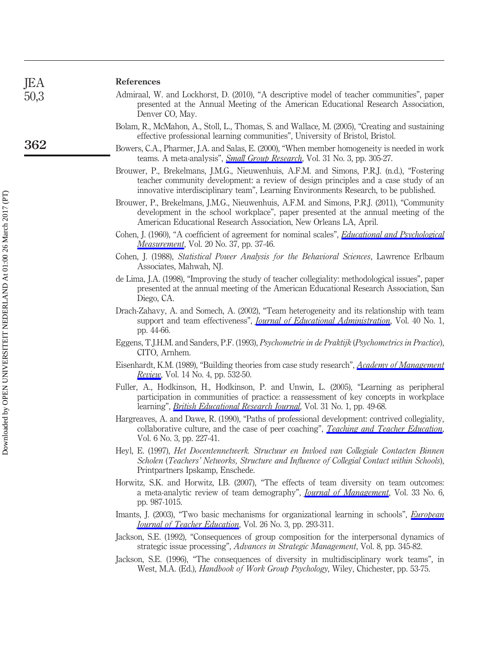362

#### References

- Admiraal, W. and Lockhorst, D. (2010), "A descriptive model of teacher communities", paper presented at the Annual Meeting of the American Educational Research Association, Denver CO, May.
- Bolam, R., McMahon, A., Stoll, L., Thomas, S. and Wallace, M. (2005), "Creating and sustaining effective professional learning communities", University of Bristol, Bristol.
- Bowers, C.A., Pharmer, J.A. and Salas, E. (2000), "When member homogeneity is needed in work teams. A meta-analysis", [Small Group Research](http://www.emeraldinsight.com/action/showLinks?crossref=10.1177%2F104649640003100303&isi=000087463800003), Vol. 31 No. 3, pp. 305-27.
- Brouwer, P., Brekelmans, J.M.G., Nieuwenhuis, A.F.M. and Simons, P.R.J. (n.d.), "Fostering teacher community development: a review of design principles and a case study of an innovative interdisciplinary team", Learning Environments Research, to be published.
- Brouwer, P., Brekelmans, J.M.G., Nieuwenhuis, A.F.M. and Simons, P.R.J. (2011), "Community development in the school workplace", paper presented at the annual meeting of the American Educational Research Association, New Orleans LA, April.
- Cohen, J. (1960), "A coefficient of agreement for nominal scales", [Educational and Psychological](http://www.emeraldinsight.com/action/showLinks?crossref=10.1177%2F001316446002000104&isi=A1960CCC3600004) [Measurement](http://www.emeraldinsight.com/action/showLinks?crossref=10.1177%2F001316446002000104&isi=A1960CCC3600004), Vol. 20 No. 37, pp. 37-46.
- Cohen, J. (1988), Statistical Power Analysis for the Behavioral Sciences, Lawrence Erlbaum Associates, Mahwah, NJ.
- de Lima, J.A. (1998), "Improving the study of teacher collegiality: methodological issues", paper presented at the annual meeting of the American Educational Research Association, San Diego, CA.
- Drach-Zahavy, A. and Somech, A. (2002), "Team heterogeneity and its relationship with team support and team effectiveness", *[Journal of Educational Administration](http://www.emeraldinsight.com/action/showLinks?system=10.1108%2F09578230210415643)*, Vol. 40 No. 1, pp. 44-66.
- Eggens, T.J.H.M. and Sanders, P.F. (1993), Psychometrie in de Praktijk (Psychometrics in Practice), CITO, Arnhem.
- Eisenhardt, K.M. (1989), "Building theories from case study research", [Academy of Management](http://www.emeraldinsight.com/action/showLinks?isi=A1989AV14400005) [Review](http://www.emeraldinsight.com/action/showLinks?isi=A1989AV14400005), Vol. 14 No. 4, pp. 532-50.
- Fuller, A., Hodkinson, H., Hodkinson, P. and Unwin, L. (2005), "Learning as peripheral participation in communities of practice: a reassessment of key concepts in workplace learning", *[British Educational Research Journal](http://www.emeraldinsight.com/action/showLinks?crossref=10.1080%2F0141192052000310029&isi=000226932300005)*, Vol. 31 No. 1, pp. 49-68.
- Hargreaves, A. and Dawe, R. (1990), "Paths of professional development: contrived collegiality, collaborative culture, and the case of peer coaching", *[Teaching and Teacher Education](http://www.emeraldinsight.com/action/showLinks?crossref=10.1016%2F0742-051X%2890%2990015-W&isi=A1990DZ97100003)*, Vol. 6 No. 3, pp. 227-41.
- Heyl, E. (1997), Het Docentennetwerk. Structuur en Invloed van Collegiale Contacten Binnen Scholen (Teachers' Networks, Structure and Influence of Collegial Contact within Schools), Printpartners Ipskamp, Enschede.
- Horwitz, S.K. and Horwitz, I.B. (2007), "The effects of team diversity on team outcomes: a meta-analytic review of team demography", *[Journal of Management](http://www.emeraldinsight.com/action/showLinks?crossref=10.1177%2F0149206307308587&isi=000251133200007)*, Vol. 33 No. 6, pp. 987-1015.
- Imants, J. (2003), "Two basic mechanisms for organizational learning in schools", *[European](http://www.emeraldinsight.com/action/showLinks?crossref=10.1080%2F0261976032000128157A)* **[Journal of Teacher Education](http://www.emeraldinsight.com/action/showLinks?crossref=10.1080%2F0261976032000128157A), Vol. 26 No. 3, pp. 293-311.**
- Jackson, S.E. (1992), "Consequences of group composition for the interpersonal dynamics of strategic issue processing", Advances in Strategic Management, Vol. 8, pp. 345-82.
- Jackson, S.E. (1996), "The consequences of diversity in multidisciplinary work teams", in West, M.A. (Ed.), *Handbook of Work Group Psychology*, Wiley, Chichester, pp. 53-75.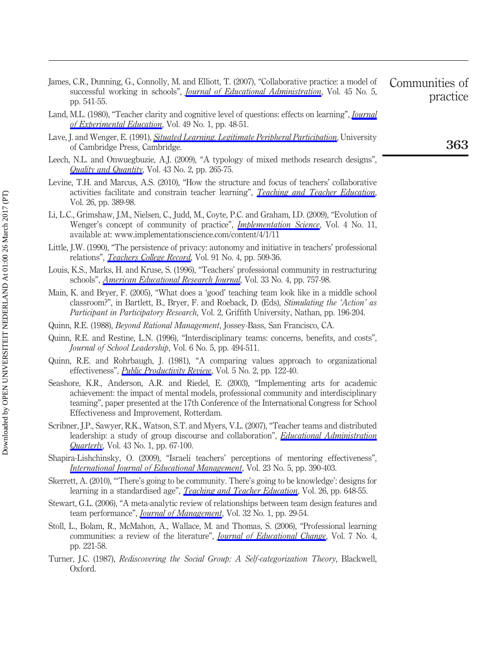- James, C.R., Dunning, G., Connolly, M. and Elliott, T. (2007), "Collaborative practice: a model of successful working in schools", *[Journal of Educational Administration](http://www.emeraldinsight.com/action/showLinks?system=10.1108%2F09578230710778187)*, Vol. 45 No. 5, pp. 541-55.
- Land, M.L. (1980), "Teacher clarity and cognitive level of questions: effects on learning", *[Journal](http://www.emeraldinsight.com/action/showLinks?crossref=10.1080%2F00220973.1980.11011762&isi=A1980KX81100010)* [of Experimental Education](http://www.emeraldinsight.com/action/showLinks?crossref=10.1080%2F00220973.1980.11011762&isi=A1980KX81100010), Vol. 49 No. 1, pp. 48-51.
- Lave, J. and Wenger, E. (1991), *[Situated Learning. Legitimate Peripheral Participation](http://www.emeraldinsight.com/action/showLinks?crossref=10.1017%2FCBO9780511815355)*, University of Cambridge Press, Cambridge.
- Leech, N.L. and Onwuegbuzie, A.J. (2009), "A typology of mixed methods research designs", **[Quality and Quantity](http://www.emeraldinsight.com/action/showLinks?crossref=10.1007%2Fs11135-007-9105-3&isi=000262652900008), Vol. 43 No. 2, pp. 265-75.**
- Levine, T.H. and Marcus, A.S. (2010), "How the structure and focus of teachers' collaborative activities facilitate and constrain teacher learning", [Teaching and Teacher Education](http://www.emeraldinsight.com/action/showLinks?crossref=10.1016%2Fj.tate.2009.03.001&isi=000275614500003), Vol. 26, pp. 389-98.
- Li, L.C., Grimshaw, J.M., Nielsen, C., Judd, M., Coyte, P.C. and Graham, I.D. (2009), "Evolution of Wenger's concept of community of practice", *[Implementation Science](http://www.emeraldinsight.com/action/showLinks?crossref=10.1186%2F1748-5908-4-11)*, Vol. 4 No. 11, available at: www.implementationscience.com/content/4/1/11
- Little, J.W. (1990), "The persistence of privacy: autonomy and initiative in teachers' professional relations", [Teachers College Record](http://www.emeraldinsight.com/action/showLinks?isi=A1990DE32100003), Vol. 91 No. 4, pp. 509-36.
- Louis, K.S., Marks, H. and Kruse, S. (1996), "Teachers' professional community in restructuring schools", *[American Educational Research Journal](http://www.emeraldinsight.com/action/showLinks?crossref=10.3102%2F00028312033004757&isi=A1996WD76900001)*, Vol. 33 No. 4, pp. 757-98.
- Main, K. and Bryer, F. (2005), "What does a 'good' teaching team look like in a middle school classroom?", in Bartlett, B., Bryer, F. and Roeback, D. (Eds), Stimulating the 'Action' as Participant in Participatory Research, Vol. 2, Griffith University, Nathan, pp. 196-204.
- Quinn, R.E. (1988), Beyond Rational Management, Jossey-Bass, San Francisco, CA.
- Quinn, R.E. and Restine, L.N. (1996), "Interdisciplinary teams: concerns, benefits, and costs", Journal of School Leadership, Vol. 6 No. 5, pp. 494-511.
- Quinn, R.E. and Rohrbaugh, J. (1981), "A comparing values approach to organizational effectiveness", *[Public Productivity Review](http://www.emeraldinsight.com/action/showLinks?crossref=10.2307%2F3380029)*, Vol. 5 No. 2, pp. 122-40.
- Seashore, K.R., Anderson, A.R. and Riedel, E. (2003), "Implementing arts for academic achievement: the impact of mental models, professional community and interdisciplinary teaming", paper presented at the 17th Conference of the International Congress for School Effectiveness and Improvement, Rotterdam.
- Scribner, J.P., Sawyer, R.K., Watson, S.T. and Myers, V.L. (2007), "Teacher teams and distributed leadership: a study of group discourse and collaboration", *[Educational Administration](http://www.emeraldinsight.com/action/showLinks?crossref=10.1177%2F0013161X06293631&isi=000243887900003) [Quarterly](http://www.emeraldinsight.com/action/showLinks?crossref=10.1177%2F0013161X06293631&isi=000243887900003)*, Vol. 43 No. 1, pp. 67-100.
- Shapira-Lishchinsky, O. (2009), "Israeli teachers' perceptions of mentoring effectiveness", [International Journal of Educational Management](http://www.emeraldinsight.com/action/showLinks?system=10.1108%2F09513540910970485), Vol. 23 No. 5, pp. 390-403.
- Skerrett, A. (2010), "'There's going to be community. There's going to be knowledge': designs for learning in a standardised age", [Teaching and Teacher Education](http://www.emeraldinsight.com/action/showLinks?crossref=10.1016%2Fj.tate.2009.09.017&isi=000275614500032), Vol. 26, pp. 648-55.
- Stewart, G.L. (2006), "A meta-analytic review of relationships between team design features and team performance", *[Journal of Management](http://www.emeraldinsight.com/action/showLinks?crossref=10.1177%2F0149206305277792&isi=000235135800002)*, Vol. 32 No. 1, pp. 29-54.
- Stoll, L., Bolam, R., McMahon, A., Wallace, M. and Thomas, S. (2006), "Professional learning communities: a review of the literature", *[Journal of Educational Change](http://www.emeraldinsight.com/action/showLinks?crossref=10.1007%2Fs10833-006-0001-8)*, Vol. 7 No. 4, pp. 221-58.
- Turner, J.C. (1987), Rediscovering the Social Group: A Self-categorization Theory, Blackwell, Oxford.

Communities of practice

363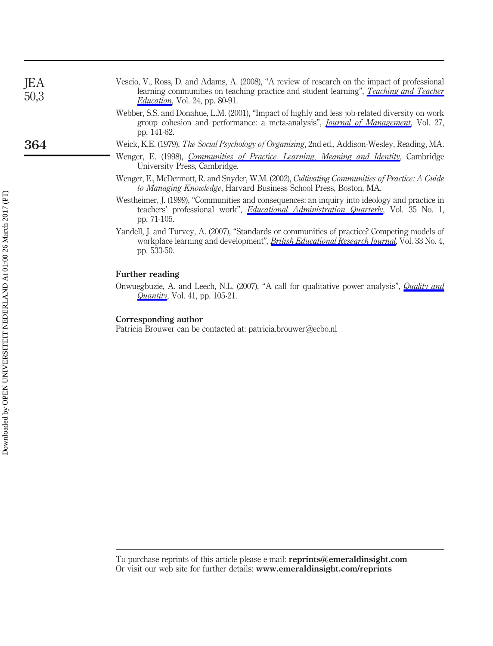| JEA<br>50,3 | Vescio, V., Ross, D. and Adams, A. (2008), "A review of research on the impact of professional<br>learning communities on teaching practice and student learning", Teaching and Teacher<br><i>Education</i> , Vol. 24, pp. 80-91. |
|-------------|-----------------------------------------------------------------------------------------------------------------------------------------------------------------------------------------------------------------------------------|
|             | Webber, S.S. and Donahue, L.M. (2001), "Impact of highly and less job-related diversity on work<br>group cohesion and performance: a meta-analysis", <i>Journal of Management</i> , Vol. 27,<br>pp. 141-62.                       |
| 364         | Weick, K.E. (1979), The Social Psychology of Organizing, 2nd ed., Addison-Wesley, Reading, MA.                                                                                                                                    |
|             | Wenger, E. (1998), <i>Communities of Practice. Learning, Meaning and Identity</i> , Cambridge<br>University Press. Cambridge.                                                                                                     |
|             | Wenger, E., McDermott, R. and Snyder, W.M. (2002), Cultivating Communities of Practice: A Guide<br>to Managing Knowledge, Harvard Business School Press, Boston, MA.                                                              |
|             | Westheimer, J. (1999), "Communities and consequences: an inquiry into ideology and practice in<br>teachers' professional work", <i>Educational Administration Quarterly</i> , Vol. 35 No. 1,<br>pp. 71-105.                       |
|             | Yandell, J. and Turvey, A. (2007), "Standards or communities of practice? Competing models of<br>workplace learning and development", <i>British Educational Research Journal</i> , Vol. 33 No. 4,                                |

#### Further reading

pp. 533-50.

Onwuegbuzie, A. and Leech, N.L. (2007), "A call for qualitative power analysis", *[Quality and](http://www.emeraldinsight.com/action/showLinks?crossref=10.1007%2Fs11135-005-1098-1&isi=000243141800007)* [Quantity](http://www.emeraldinsight.com/action/showLinks?crossref=10.1007%2Fs11135-005-1098-1&isi=000243141800007), Vol. 41, pp. 105-21.

#### Corresponding author

Patricia Brouwer can be contacted at: patricia.brouwer@ecbo.nl

To purchase reprints of this article please e-mail: reprints@emeraldinsight.com Or visit our web site for further details: www.emeraldinsight.com/reprints